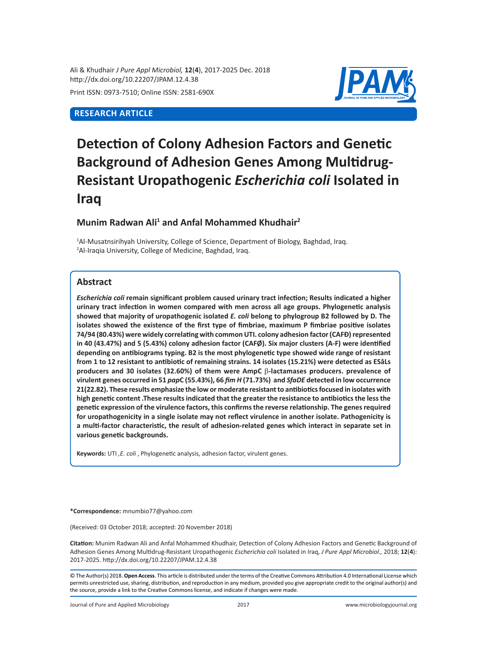Ali & Khudhair *J Pure Appl Microbiol,* **12**(**4**), 2017-2025 Dec. 2018 http://dx.doi.org/10.22207/JPAM.12.4.38 Print ISSN: 0973-7510; Online ISSN: 2581-690X

# **RESEARCH ARTICLE**



# **Detection of Colony Adhesion Factors and Genetic Background of Adhesion Genes Among Multidrug-Resistant Uropathogenic** *Escherichia coli* **Isolated in Iraq**

# **Munim Radwan Ali<sup>1</sup> and Anfal Mohammed Khudhair<sup>2</sup>**

<sup>1</sup>Al-Musatnsirihyah University, College of Science, Department of Biology, Baghdad, Iraq. 2 Al-Iraqia University, College of Medicine, Baghdad, Iraq.

# **Abstract**

*Escherichia coli* **remain significant problem caused urinary tract infection; Results indicated a higher urinary tract infection in women compared with men across all age groups. Phylogenetic analysis showed that majority of uropathogenic isolated** *E. coli* **belong to phylogroup B2 followed by D. The isolates showed the existence of the first type of fimbriae, maximum P fimbriae positive isolates 74/94 (80.43%) were widely correlating with common UTI. colony adhesion factor (CAFÐ) represented in 40 (43.47%) and 5 (5.43%) colony adhesion factor (CAFØ). Six major clusters (A-F) were identified depending on antibiograms typing. B2 is the most phylogenetic type showed wide range of resistant from 1 to 12 resistant to antibiotic of remaining strains. 14 isolates (15.21%) were detected as ESâLs producers and 30 isolates (32.60%) of them were AmpC** b**-lactamases producers. prevalence of virulent genes occurred in 51** *pap***C (55.43%), 66** *fim H* **(71.73%) and** *SfaDE* **detected in low occurrence 21(22.82). These results emphasize the low or moderate resistant to antibiotics focused in isolates with high genetic content .These results indicated that the greater the resistance to antibiotics the less the genetic expression of the virulence factors, this confirms the reverse relationship. The genes required for uropathogenicity in a single isolate may not reflect virulence in another isolate. Pathogenicity is a multi-factor characteristic, the result of adhesion-related genes which interact in separate set in various genetic backgrounds.**

**Keywords:** UTI *,E. coli* , Phylogenetic analysis, adhesion factor, virulent genes.

**\*Correspondence:** mnumbio77@yahoo.com

(Received: 03 October 2018; accepted: 20 November 2018)

**Citation:** Munim Radwan Ali and Anfal Mohammed Khudhair, Detection of Colony Adhesion Factors and Genetic Background of Adhesion Genes Among Multidrug-Resistant Uropathogenic *Escherichia coli* Isolated in Iraq, *J Pure Appl Microbiol.,* 2018; **12**(**4**): 2017-2025. http://dx.doi.org/10.22207/JPAM.12.4.38

© The Author(s) 2018. **Open Access**. This article is distributed under the terms of the Creative Commons Attribution 4.0 International License which permits unrestricted use, sharing, distribution, and reproduction in any medium, provided you give appropriate credit to the original author(s) and the source, provide a link to the Creative Commons license, and indicate if changes were made.

Journal of Pure and Applied Microbiology 2017 www.microbiologyjournal.org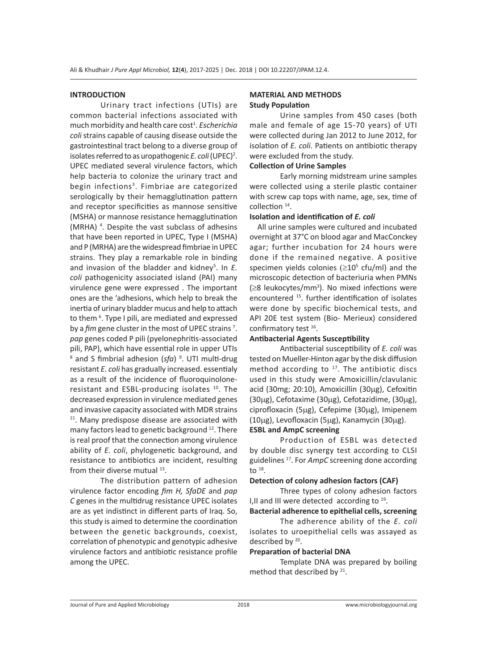#### **INTRODUCTION**

Urinary tract infections (UTIs) are common bacterial infections associated with much morbidity and health care cost<sup>1</sup>. Escherichia *coli*strains capable of causing disease outside the gastrointestinal tract belong to a diverse group of isolates referred to as uropathogenic *E. coli* (UPEC)<sup>2</sup>. UPEC mediated several virulence factors, which help bacteria to colonize the urinary tract and begin infections<sup>3</sup>. Fimbriae are categorized serologically by their hemagglutination pattern and receptor specificities as mannose sensitive (MSHA) or mannose resistance hemagglutination (MRHA)<sup>4</sup>. Despite the vast subclass of adhesins that have been reported in UPEC, Type I (MSHA) and P (MRHA) are the widespread fimbriae in UPEC strains. They play a remarkable role in binding and invasion of the bladder and kidney<sup>5</sup>. In E. *coli* pathogenicity associated island (PAI) many virulence gene were expressed . The important ones are the 'adhesions, which help to break the inertia of urinary bladder mucus and help to attach to them <sup>6</sup>. Type I pili, are mediated and expressed by a *fim* gene cluster in the most of UPEC strains<sup>7</sup>. *pap* genes coded P pili (pyelonephritis-associated pili, PAP), which have essential role in upper UTIs <sup>8</sup> and S fimbrial adhesion (sfa) <sup>9</sup>. UTI multi-drug resistant *E. coli* has gradually increased. essentialy as a result of the incidence of fluoroquinoloneresistant and ESBL-producing isolates <sup>10</sup>. The decreased expression in virulence mediated genes and invasive capacity associated with MDR strains  $11$ . Many predispose disease are associated with many factors lead to genetic background <sup>12</sup>. There is real proof that the connection among virulence ability of *E. coli*, phylogenetic background, and resistance to antibiotics are incident, resulting from their diverse mutual <sup>13</sup>.

The distribution pattern of adhesion virulence factor encoding *fim H, SfaDE* and *pap C* genes in the multidrug resistance UPEC isolates are as yet indistinct in different parts of Iraq. So, this study is aimed to determine the coordination between the genetic backgrounds, coexist, correlation of phenotypic and genotypic adhesive virulence factors and antibiotic resistance profile among the UPEC.

## **MATERIAL AND METHODS Study Population**

Urine samples from 450 cases (both male and female of age 15-70 years) of UTI were collected during Jan 2012 to June 2012, for isolation of *E. coli*. Patients on antibiotic therapy were excluded from the study.

## **Collection of Urine Samples**

Early morning midstream urine samples were collected using a sterile plastic container with screw cap tops with name, age, sex, time of collection 14.

#### **Isolation and identification of** *E. coli*

 All urine samples were cultured and incubated overnight at 37°C on blood agar and MacConckey agar; further incubation for 24 hours were done if the remained negative. A positive specimen yields colonies  $(\geq 10^5 \text{ cfu/ml})$  and the microscopic detection of bacteriuria when PMNs (≥8 leukocytes/mm<sup>3</sup> ). No mixed infections were encountered 15. further identification of isolates were done by specific biochemical tests, and API 20E test system (Bio- Merieux) considered confirmatory test 16.

#### **Antibacterial Agents Susceptibility**

Antibacterial susceptibility of *E. coli* was tested on Mueller-Hinton agar by the disk diffusion method according to  $17$ . The antibiotic discs used in this study were Amoxicillin/clavulanic acid (30mg; 20:10), Amoxicillin (30µg), Cefoxitin (30µg), Cefotaxime (30µg), Cefotazidime, (30µg), ciprofloxacin (5µg), Cefepime (30µg), Imipenem (10µg), Levofloxacin (5µg), Kanamycin (30µg).

## **ESBL and AmpC screening**

Production of ESBL was detected by double disc synergy test according to CLSI guidelines <sup>17</sup>. For *AmpC* screening done according to  $18$ .

#### **Detection of colony adhesion factors (CAF)**

Three types of colony adhesion factors I, II and III were detected according to  $19$ .

**Bacterial adherence to epithelial cells, screening**

The adherence ability of the *E. coli* isolates to uroepithelial cells was assayed as described by 20.

#### **Preparation of bacterial DNA**

Template DNA was prepared by boiling method that described by <sup>21</sup>.

Journal of Pure and Applied Microbiology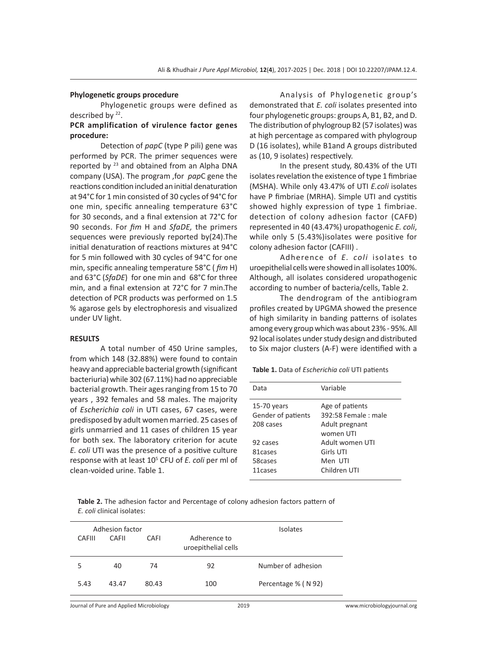#### **Phylogenetic groups procedure**

Phylogenetic groups were defined as described by <sup>22</sup>.

# **PCR amplification of virulence factor genes procedure:**

Detection of *papC* (type P pili) gene was performed by PCR. The primer sequences were reported by <sup>23</sup> and obtained from an Alpha DNA company (USA). The program ,for *pap*C gene the reactions condition included an initial denaturation at 94°C for 1 min consisted of 30 cycles of 94°C for one min, specific annealing temperature 63°C for 30 seconds, and a final extension at 72°C for 90 seconds. For *fim* H and *SfaDE,* the primers sequences were previously reported by(24).The initial denaturation of reactions mixtures at 94°C for 5 min followed with 30 cycles of 94°C for one min, specific annealing temperature 58°C ( *fim* H) and 63°C (*SfaDE*) for one min and 68°C for three min, and a final extension at 72°C for 7 min.The detection of PCR products was performed on 1.5 % agarose gels by electrophoresis and visualized under UV light.

#### **RESULTS**

A total number of 450 Urine samples, from which 148 (32.88%) were found to contain heavy and appreciable bacterial growth (significant bacteriuria) while 302 (67.11%) had no appreciable bacterial growth. Their ages ranging from 15 to 70 years , 392 females and 58 males. The majority of *Escherichia coli* in UTI cases, 67 cases, were predisposed by adult women married. 25 cases of girls unmarried and 11 cases of children 15 year for both sex. The laboratory criterion for acute *E. coli* UTI was the presence of a positive culture response with at least 10<sup>5</sup> CFU of *E. coli* per ml of clean-voided urine. Table 1.

Analysis of Phylogenetic group's demonstrated that *E. coli* isolates presented into four phylogenetic groups: groups A, B1, B2, and D. The distribution of phylogroup B2 (57 isolates) was at high percentage as compared with phylogroup D (16 isolates), while B1and A groups distributed as (10, 9 isolates) respectively.

In the present study, 80.43% of the UTI isolates revelation the existence of type 1 fimbriae (MSHA). While only 43.47% of UTI *E.coli* isolates have P fimbriae (MRHA). Simple UTI and cystitis showed highly expression of type 1 fimbriae. detection of colony adhesion factor (CAFÐ) represented in 40 (43.47%) uropathogenic *E. coli*, while only 5 (5.43%)isolates were positive for colony adhesion factor (CAFIII) .

Adherence of *E. coli* isolates to uroepithelial cells were showed in all isolates 100%. Although, all isolates considered uropathogenic according to number of bacteria/cells, Table 2.

The dendrogram of the antibiogram profiles created by UPGMA showed the presence of high similarity in banding patterns of isolates among every group which was about 23% - 95%. All 92 local isolates under study design and distributed to Six major clusters (A-F) were identified with a

**Table 1.** Data of *Escherichia coli* UTI patients

| Data                                             | Variable                                                              |
|--------------------------------------------------|-----------------------------------------------------------------------|
| $15-70$ years<br>Gender of patients<br>208 cases | Age of patients<br>392:58 Female: male<br>Adult pregnant<br>women UTI |
| 92 cases<br>81 cases<br>58cases<br>11 cases      | Adult women UTI<br>Girls UTI<br>Men UTI<br>Children UTI               |

**Table 2.** The adhesion factor and Percentage of colony adhesion factors pattern of *E. coli* clinical isolates:

|               | Adhesion factor |       |                                     | <b>Isolates</b>     |
|---------------|-----------------|-------|-------------------------------------|---------------------|
| <b>CAFIII</b> | CAFII           | CAFI  | Adherence to<br>uroepithelial cells |                     |
|               | 40              | 74    | 92                                  | Number of adhesion  |
| 5.43          | 43.47           | 80.43 | 100                                 | Percentage % (N 92) |
|               |                 |       |                                     |                     |

Journal of Pure and Applied Microbiology 2019 www.microbiologyjournal.org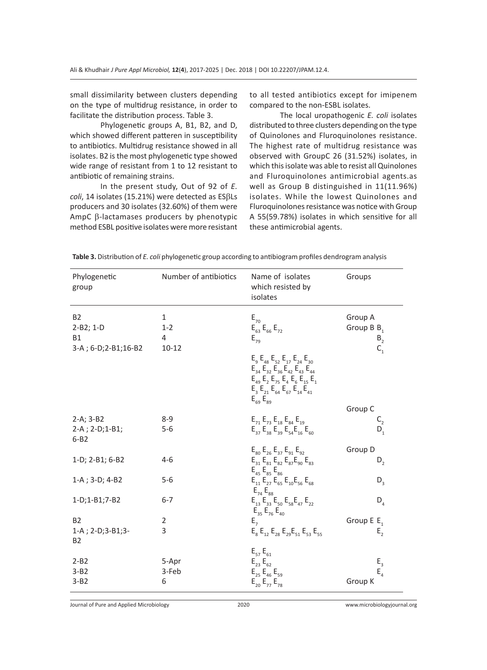small dissimilarity between clusters depending on the type of multidrug resistance, in order to facilitate the distribution process. Table 3.

Phylogenetic groups A, B1, B2, and D, which showed different patteren in susceptibility to antibiotics. Multidrug resistance showed in all isolates. B2 is the most phylogenetic type showed wide range of resistant from 1 to 12 resistant to antibiotic of remaining strains.

In the present study, Out of 92 of *E. coli*, 14 isolates (15.21%) were detected as ESβLs producers and 30 isolates (32.60%) of them were AmpC β-lactamases producers by phenotypic method ESBL positive isolates were more resistant to all tested antibiotics except for imipenem compared to the non-ESBL isolates.

The local uropathogenic *E. coli* isolates distributed to three clusters depending on the type of Quinolones and Fluroquinolones resistance. The highest rate of multidrug resistance was observed with GroupC 26 (31.52%) isolates, in which this isolate was able to resist all Quinolones and Fluroquinolones antimicrobial agents.as well as Group B distinguished in 11(11.96%) isolates. While the lowest Quinolones and Fluroquinolones resistance was notice with Group A 55(59.78%) isolates in which sensitive for all these antimicrobial agents.

| Phylogenetic<br>group                                              | Number of antibiotics                     | Name of isolates<br>which resisted by<br>isolates                                                                                                                                                                                                       | Groups                                                                                          |
|--------------------------------------------------------------------|-------------------------------------------|---------------------------------------------------------------------------------------------------------------------------------------------------------------------------------------------------------------------------------------------------------|-------------------------------------------------------------------------------------------------|
| <b>B2</b><br>$2 - B2; 1 - D$<br><b>B1</b><br>3-A; 6-D; 2-B1; 16-B2 | $\mathbf{1}$<br>$1 - 2$<br>4<br>$10 - 12$ | $E_{70}$<br>$E_{63}E_{66}E_{72}$<br>$E_{79}$<br>$E_9 E_{48} E_{52} E_{17} E_{24} E_{30}$<br>$E_{34} E_{32} E_{36} E_{42} E_{43} E_{44}$<br>$E_{49} E_{2} E_{75} E_{4} E_{6} E_{15} E_{1}$<br>$E_3 E_{21} E_{64} E_{67} E_{14} E_{41}$<br>$E_{69}E_{89}$ | Group A<br>Group B B,<br>$\begin{array}{c} \mathsf{B}_2 \\ \mathsf{C}_1 \end{array}$<br>Group C |
| $2-A; 3-B2$<br>$2-A$ ; $2-D$ ; $1-B1$ ;<br>$6 - B2$                | $8 - 9$<br>$5-6$                          | $E_{71}E_{73}E_{18}E_{84}E_{19}$<br>$E_{37}E_{38}E_{39}E_{54}E_{16}E_{60}$                                                                                                                                                                              | $C_2$<br>$D_1$                                                                                  |
| 1-D; 2-B1; 6-B2                                                    | $4 - 6$                                   | $E_{80}E_{26}E_{37}E_{91}E_{92}$<br>$E_{31}E_{81}E_{82}E_{87}E_{90}E_{83}$<br>$E_{45}E_{85}E_{86}$                                                                                                                                                      | Group D<br>$D_{2}$                                                                              |
| 1-A; 3-D; 4-B2                                                     | $5-6$                                     | $E_{11} E_{27} E_{65} E_{10} E_{56} E_{68}$<br>$E_{74}E_{88}$                                                                                                                                                                                           | $D_3$                                                                                           |
| 1-D;1-B1;7-B2                                                      | $6 - 7$                                   | $E_{13}E_{33}E_{50}E_{58}E_{47}E_{22}$<br>$E_{35}E_{76}E_{40}$                                                                                                                                                                                          | $D_4$                                                                                           |
| <b>B2</b><br>1-A; 2-D; 3-B1; 3-<br><b>B2</b>                       | $\overline{2}$<br>3                       | $E_{7}$<br>$E_8 E_{12} E_{28} E_{29} E_{51} E_{53} E_{55}$                                                                                                                                                                                              | Group $E E_1$<br>$\mathsf{E}_\mathsf{2}$                                                        |
| $2 - B2$<br>$3 - B2$<br>$3 - B2$                                   | 5-Apr<br>3-Feb<br>6                       | $E_{57}E_{61}$<br>$E_{23}E_{62}$<br>$E_{_{25}}E_{_{46}}E_{_{59}}$<br>$E_{20}E_{77}E_{78}$                                                                                                                                                               | $E_3$<br>$E_4$<br>Group K                                                                       |

**Table 3.** Distribution of *E. coli* phylogenetic group according to antibiogram profiles dendrogram analysis

Journal of Pure and Applied Microbiology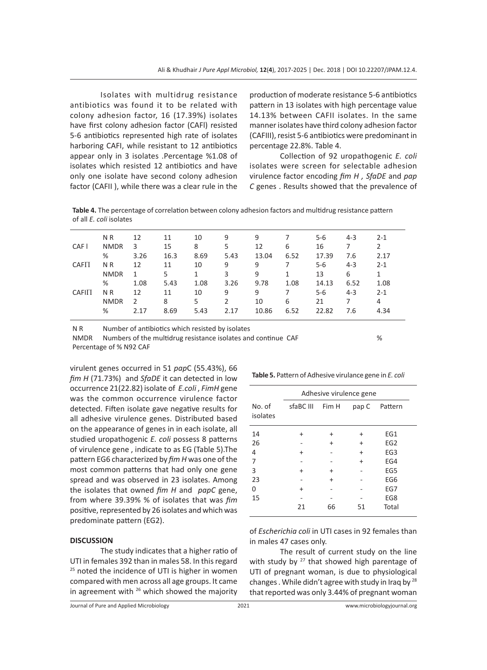Isolates with multidrug resistance antibiotics was found it to be related with colony adhesion factor, 16 (17.39%) isolates have first colony adhesion factor (CAFl) resisted 5-6 antibiotics represented high rate of isolates harboring CAFI, while resistant to 12 antibiotics appear only in 3 isolates .Percentage %1.08 of isolates which resisted 12 antibiotics and have only one isolate have second colony adhesion factor (CAFII ), while there was a clear rule in the production of moderate resistance 5-6 antibiotics pattern in 13 isolates with high percentage value 14.13% between CAFII isolates. In the same manner isolates have third colony adhesion factor (CAFIII), resist 5-6 antibiotics were predominant in percentage 22.8%. Table 4.

Collection of 92 uropathogenic *E. coli* isolates were screen for selectable adhesion virulence factor encoding *fim H , SfaDE* and *pap C* genes . Results showed that the prevalence of

**Table 4.** The percentage of correlation between colony adhesion factors and multidrug resistance pattern of all *E. coli* isolates

|                   | N <sub>R</sub> | 12   | 11   | 10           | 9    | 9     |      | $5-6$   | $4 - 3$ | $2 - 1$ |
|-------------------|----------------|------|------|--------------|------|-------|------|---------|---------|---------|
| CAF I             | <b>NMDR</b>    | 3    | 15   | 8            | 5    | 12    | 6    | 16      |         | 2       |
|                   | %              | 3.26 | 16.3 | 8.69         | 5.43 | 13.04 | 6.52 | 17.39   | 7.6     | 2.17    |
| CAFII             | N <sub>R</sub> | 12   | 11   | 10           | 9    | 9     |      | $5 - 6$ | $4 - 3$ | $2 - 1$ |
|                   | <b>NMDR</b>    | 1    | 5    | $\mathbf{1}$ | 3    | 9     | 1    | 13      | 6       | 1       |
|                   | %              | 1.08 | 5.43 | 1.08         | 3.26 | 9.78  | 1.08 | 14.13   | 6.52    | 1.08    |
| CAF <sub>II</sub> | N R            | 12   | 11   | 10           | 9    | 9     | 7    | $5 - 6$ | $4 - 3$ | $2 - 1$ |
|                   | <b>NMDR</b>    | 2    | 8    | 5            | 2    | 10    | 6    | 21      |         | 4       |
|                   | %              | 2.17 | 8.69 | 5.43         | 2.17 | 10.86 | 6.52 | 22.82   | 7.6     | 4.34    |
|                   |                |      |      |              |      |       |      |         |         |         |

N R Number of antibiotics which resisted by isolates

NMDR Numbers of the multidrug resistance isolates and continue CAF  $\%$ Percentage of % N92 CAF

virulent genes occurred in 51 *pap*C (55.43%), 66 *fim H* (71.73%) and *SfaDE* it can detected in low occurrence 21(22.82) isolate of *E.coli* , *FimH* gene was the common occurrence virulence factor detected. Fiften isolate gave negative results for all adhesive virulence genes. Distributed based on the appearance of genes in in each isolate, all studied uropathogenic *E. coli* possess 8 patterns of virulence gene , indicate to as EG (Table 5).The pattern EG6 characterized by *fim H* was one of the most common patterns that had only one gene spread and was observed in 23 isolates. Among the isolates that owned *fim H* and *papC* gene, from where 39.39% % of isolates that was *fim* positive, represented by 26 isolates and which was predominate pattern (EG2).

#### **DISCUSSION**

The study indicates that a higher ratio of UTI in females 392 than in males 58. In this regard <sup>25</sup> noted the incidence of UTI is higher in women compared with men across all age groups. It came in agreement with  $26$  which showed the majority

|                    | Adhesive virulence gene |  |           |                 |  |  |
|--------------------|-------------------------|--|-----------|-----------------|--|--|
| No. of<br>isolates | sfaBC III Fim H         |  |           | pap C Pattern   |  |  |
| 14                 |                         |  |           | EG1             |  |  |
| 26                 |                         |  | $\ddot{}$ | EG <sub>2</sub> |  |  |
| 4                  |                         |  | $\div$    | EG <sub>3</sub> |  |  |
|                    |                         |  |           | FG4             |  |  |

3 + + - EG5 23 - + - EG6 0 + - - EG7 15 - - - - EG8

**Table 5.** Pattern of Adhesive virulance gene in *E. coli*

of *Escherichia coli* in UTI cases in 92 females than in males 47 cases only.

21 66 51 Total

The result of current study on the line with study by <sup>27</sup> that showed high parentage of UTI of pregnant woman, is due to physiological changes . While didn't agree with study in Iraq by <sup>28</sup> that reported was only 3.44% of pregnant woman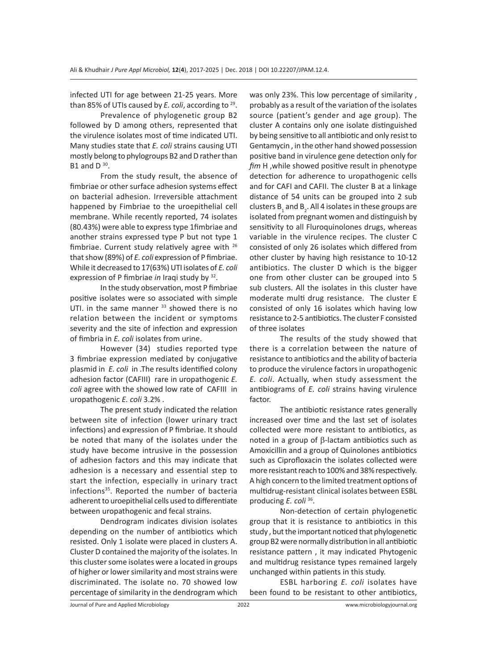infected UTI for age between 21-25 years. More than 85% of UTIs caused by *E. coli*, according to 29.

Prevalence of phylogenetic group B2 followed by D among others, represented that the virulence isolates most of time indicated UTI. Many studies state that *E. coli* strains causing UTI mostly belong to phylogroups B2 and D rather than B1 and  $D^{30}$ .

From the study result, the absence of fimbriae or other surface adhesion systems effect on bacterial adhesion. Irreversible attachment happened by Fimbriae to the uroepithelial cell membrane. While recently reported, 74 isolates (80.43%) were able to express type 1fimbriae and another strains expressed type P but not type 1 fimbriae. Current study relatively agree with 26 that show (89%) of *E. coli* expression of P fimbriae. While it decreased to 17(63%) UTI isolates of *E. coli*  expression of P fimbriae *in* Iraqi study by 32.

In the study observation, most P fimbriae positive isolates were so associated with simple UTI. in the same manner  $33$  showed there is no relation between the incident or symptoms severity and the site of infection and expression of fimbria in *E. coli* isolates from urine.

However (34) studies reported type 3 fimbriae expression mediated by conjugative plasmid in *E. coli* in .The results identified colony adhesion factor (CAFIII) rare in uropathogenic *E. coli* agree with the showed low rate of CAFIII in uropathogenic *E. coli* 3.2% .

The present study indicated the relation between site of infection (lower urinary tract infections) and expression of P fimbriae. It should be noted that many of the isolates under the study have become intrusive in the possession of adhesion factors and this may indicate that adhesion is a necessary and essential step to start the infection, especially in urinary tract infections<sup>35</sup>. Reported the number of bacteria adherent to uroepithelial cells used to differentiate between uropathogenic and fecal strains.

Dendrogram indicates division isolates depending on the number of antibiotics which resisted. Only 1 isolate were placed in clusters A. Cluster D contained the majority of the isolates. In this cluster some isolates were a located in groups of higher or lower similarity and most strains were discriminated. The isolate no. 70 showed low percentage of similarity in the dendrogram which was only 23%. This low percentage of similarity , probably as a result of the variation of the isolates source (patient's gender and age group). The cluster A contains only one isolate distinguished by being sensitive to all antibiotic and only resist to Gentamycin , in the other hand showed possession positive band in virulence gene detection only for *fim* H ,while showed positive result in phenotype detection for adherence to uropathogenic cells and for CAFI and CAFII. The cluster B at a linkage distance of 54 units can be grouped into 2 sub clusters  $\mathsf{B}_\mathtt{1}$  and  $\mathsf{B}_\mathtt{2}.$  All 4 isolates in these groups are isolated from pregnant women and distinguish by sensitivity to all Fluroquinolones drugs, whereas variable in the virulence recipes. The cluster C consisted of only 26 isolates which differed from other cluster by having high resistance to 10-12 antibiotics. The cluster D which is the bigger one from other cluster can be grouped into 5 sub clusters. All the isolates in this cluster have moderate multi drug resistance. The cluster E consisted of only 16 isolates which having low resistance to 2-5 antibiotics. The cluster F consisted of three isolates

The results of the study showed that there is a correlation between the nature of resistance to antibiotics and the ability of bacteria to produce the virulence factors in uropathogenic *E. coli*. Actually, when study assessment the antibiograms of *E. coli* strains having virulence factor.

The antibiotic resistance rates generally increased over time and the last set of isolates collected were more resistant to antibiotics, as noted in a group of  $\beta$ -lactam antibiotics such as Amoxicillin and a group of Quinolones antibiotics such as Ciprofloxacin the isolates collected were more resistant reach to 100% and 38% respectively. A high concern to the limited treatment options of multidrug-resistant clinical isolates between ESBL producing *E. coli* <sup>36</sup>.

Non-detection of certain phylogenetic group that it is resistance to antibiotics in this study , but the important noticed that phylogenetic group B2 were normally distribution in all antibiotic resistance pattern , it may indicated Phytogenic and multidrug resistance types remained largely unchanged within patients in this study.

ESBL harboring *E. coli* isolates have been found to be resistant to other antibiotics,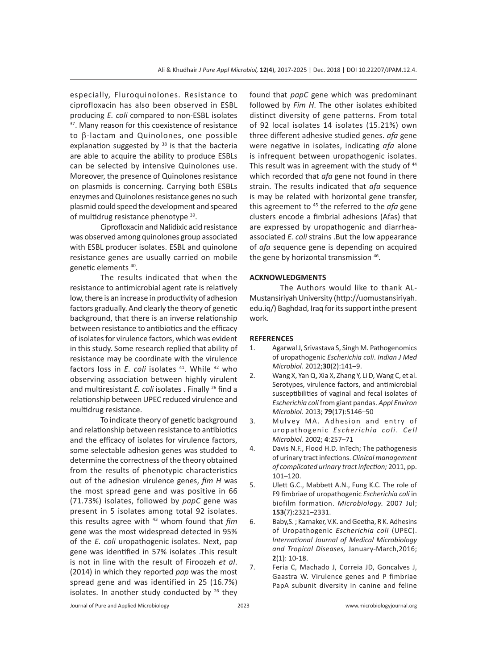especially, Fluroquinolones. Resistance to ciprofloxacin has also been observed in ESBL producing *E. coli* compared to non-ESBL isolates <sup>37</sup>. Many reason for this coexistence of resistance to  $\beta$ -lactam and Quinolones, one possible explanation suggested by  $38$  is that the bacteria are able to acquire the ability to produce ESBLs can be selected by intensive Quinolones use. Moreover, the presence of Quinolones resistance on plasmids is concerning. Carrying both ESBLs enzymes and Quinolones resistance genes no such plasmid could speed the development and speared of multidrug resistance phenotype 39.

Ciprofloxacin and Nalidixic acid resistance was observed among quinolones group associated with ESBL producer isolates. ESBL and quinolone resistance genes are usually carried on mobile genetic elements 40.

The results indicated that when the resistance to antimicrobial agent rate is relatively low, there is an increase in productivity of adhesion factors gradually. And clearly the theory of genetic background, that there is an inverse relationship between resistance to antibiotics and the efficacy of isolates for virulence factors, which was evident in this study. Some research replied that ability of resistance may be coordinate with the virulence factors loss in *E. coli* isolates <sup>41</sup>. While <sup>42</sup> who observing association between highly virulent and multiresistant *E. coli* isolates . Finally <sup>26</sup> find a relationship between UPEC reduced virulence and multidrug resistance.

To indicate theory of genetic background and relationship between resistance to antibiotics and the efficacy of isolates for virulence factors, some selectable adhesion genes was studded to determine the correctness of the theory obtained from the results of phenotypic characteristics out of the adhesion virulence genes, *fim H* was the most spread gene and was positive in 66 (71.73%) isolates, followed by *papC* gene was present in 5 isolates among total 92 isolates. this results agree with 43 whom found that *fim* gene was the most widespread detected in 95% of the *E. coli* uropathogenic isolates. Next, pap gene was identified in 57% isolates .This result is not in line with the result of Firoozeh *et al*. (2014) in which they reported *pap* was the most spread gene and was identified in 25 (16.7%) isolates. In another study conducted by  $26$  they found that *papC* gene which was predominant followed by *Fim H*. The other isolates exhibited distinct diversity of gene patterns. From total of 92 local isolates 14 isolates (15.21%) own three different adhesive studied genes. *afa* gene were negative in isolates, indicating *afa* alone is infrequent between uropathogenic isolates. This result was in agreement with the study of 44 which recorded that *afa* gene not found in there strain. The results indicated that *afa* sequence is may be related with horizontal gene transfer, this agreement to 45 the referred to the *afa* gene clusters encode a fimbrial adhesions (Afas) that are expressed by uropathogenic and diarrheaassociated *E. coli* strains .But the low appearance of *afa* sequence gene is depending on acquired the gene by horizontal transmission 46.

# **ACKNOWLEDGMENTS**

The Authors would like to thank AL-Mustansiriyah University (http://uomustansiriyah. edu.iq/) Baghdad, Iraq for its support inthe present work.

## **REFERENCES**

- 1. Agarwal J, Srivastava S, Singh M. Pathogenomics of uropathogenic *Escherichia coli*. *Indian J Med Microbiol.* 2012;**30**(2):141–9.
- 2. Wang X, Yan Q, Xia X, Zhang Y, Li D, Wang C, et al. Serotypes, virulence factors, and antimicrobial susceptibilities of vaginal and fecal isolates of *Escherichia coli* from giant pandas. *Appl Environ Microbiol.* 2013; **79**(17):5146–50
- 3. Mulvey MA. Adhesion and entry of uropathogenic *Escherichia coli*. *C e l l Microbiol.* 2002; **4**:257–71
- 4. Davis N.F., Flood H.D. InTech; The pathogenesis of urinary tract infections. *Clinical management of complicated urinary tract infection;* 2011, pp. 101–120.
- 5. Ulett G.C., Mabbett A.N., Fung K.C. The role of F9 fimbriae of uropathogenic *Escherichia coli* in biofilm formation. *Microbiology.* 2007 Jul; **153**(7):2321–2331.
- 6. Baby,S. ; Karnaker, V.K. and Geetha, R K. Adhesins of Uropathogenic *Escherichia coli* (UPEC). *International Journal of Medical Microbiology and Tropical Diseases,* January-March,2016; **2**(1): 10-18.
- 7. Feria C, Machado J, Correia JD, Goncalves J, Gaastra W. Virulence genes and P fimbriae PapA subunit diversity in canine and feline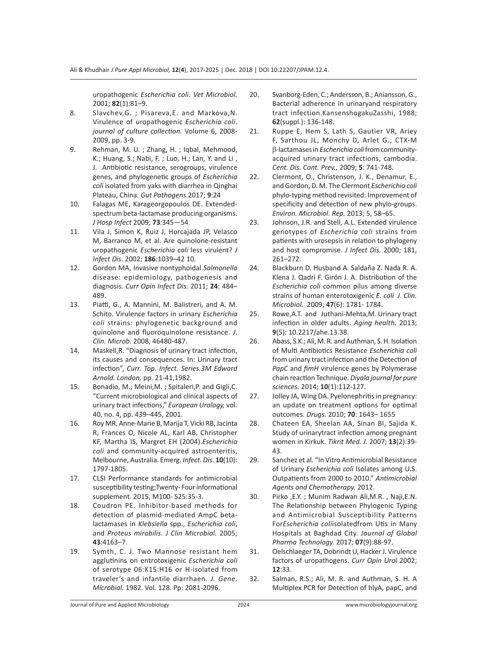uropathogenic *Escherichia coli*. *Vet Microbiol.*  2001; **82**(1):81–9.

- 8. Slavchev,G. ; Pisareva,E. and Markova,N. Virulence of uropathogenic *Escherichia coli*. *journal of culture collection.* Volume 6, 2008- 2009, pp. 3-9.
- 9. Rehman, M. U. ; Zhang, H. ; Iqbal, Mehmood, K.; Huang, S.; Nabi, F. ; Luo, H.; Lan, Y. and Li , J. Antibiotic resistance, serogroups, virulence genes, and phylogenetic groups of *Escherichia coli* isolated from yaks with diarrhea in Qinghai Plateau, China. *Gut Pathogens*.2017; **9**:24
- 10. Falagas ME, Karageorgopoulos DE. Extendedspectrum beta-lactamase producing organisms. *J Hosp Infect* 2009; **73**:345—54.
- 11. Vila J, Simon K, Ruiz J, Horcajada JP, Velasco M, Barranco M, et al. Are quinolone-resistant uropathogenic *Escherichia coli* less virulent? *J Infect Dis.* 2002; **186**:1039–42 10.
- 12. Gordon MA, Invasive nontyphoidal *Salmonella* disease: epidemiology, pathogenesis and diagnosis. *Curr Opin Infect Dis.* 2011; **24**: 484– 489.
- 13. Piatti, G., A. Mannini, M. Balistreri, and A. M. Schito. Virulence factors in urinary *Escherichia coli* strains: phylogenetic background and quinolone and fluoroquinolone resistance. *J. Clin. Microb.* 2008, 46480-487.
- 14. Maskell,R. "Diagnosis of urinary tract infection, its causes and consequences. In: Urinary tract infection", *Curr. Top. Infect. Series.3M Edward Arnold. London,* pp. 21-41,1982.
- 15. Bonadio, M.; Meini,M. ; Spitaleri,P. and Gigli,C. "Current microbiological and clinical aspects of urinary tract infections," *European Urology,* vol. 40, no. 4, pp. 439–445, 2001.
- 16. Roy MR, Anne-Marie B, Marija T, Vicki RB, Jacinta R, Frances O, Nicole AL, Karl AB, Christopher KF, Martha IS, Margret EH (2004).*Escherichia coli* and community-acquired astroenteritis, Melbourne, Australia. Emerg. *Infect. Dis.* **10**(10): 1797-1805.
- 17. CLSI Performance standards for antimicrobial susceptibility testing;Twenty- Four informational supplement. 2015, M100- S25:35-3.
- 18. Coudron PE. Inhibitor-based methods for detection of plasmid-mediated AmpC betalactamases in *Klebsiella* spp., *Escherichia coli*, and *Proteus mirabilis*. *J Clin Microbiol.* 2005; **43**:4163–7.
- 19. Symth, C. J. Two Mannose resistant hem agglutinins on entrotoxigenic *Escherichia coli*  of serotype 06:K15:H16 or H-isolated from traveler's and infantile diarrhaen. *J. Gene. Microbial.* 1982. Vol. 128. Pp: 2081-2096.
- 20. Svanborg-Eden, C.; Andersson, B.; Aniansson, G., Bacterial adherence in urinaryand respiratory tract infection.KansenshogakuZasshi, 1988; **62**(suppl.): 136-148.
- 21. Ruppe E, Hem S, Lath S, Gautier VR, Ariey F, Sarthou JL, Monchy D, Arlet G., CTX-M b-lactamases in *Escherichia coli* from communityacquired urinary tract infections, cambodia. *Cent. Dis. Cont. Prev.,* 2009; **5**: 741-748.
- 22. Clermont, O., Christenson, J. K., Denamur, E., and Gordon, D. M. The Clermont *Escherichia coli* phylo-typing method revisited: Improvement of specificity and detection of new phylo-groups. *Environ. Microbiol. Rep.* 2013; 5, 58–65.
- 23. Johnson, J.R. and Stell, A.L. Extended virulence genotypes of *Escherichia coli* strains from patients with urosepsis in relation to phylogeny and host compromise. *J Infect Dis.* 2000; 181, 261–272.
- 24. Blackburn D. Husband A. Saldaña Z. Nada R. A. Klena J. Qadri F. Girón J. A. Distribution of the *Escherichia coli* common pilus among diverse strains of human enterotoxigenic *E. coli J. Clin. Microbiol.* 2009; **47**(6): 1781- 1784.
- 25. Rowe,A.T. and Juthani-Mehta,M. Urinary tract infection in older adults. *Aging health.* 2013; **9**(5): 10.2217/ahe.13.38.
- 26. Abass, S.K.; Ali, M. R. and Authman, S. H. Isolation of Multi Antibiotics Resistance *Escherichia coli*  from urinary tract infection and the Detection of *PapC* and *fimH* virulence genes by Polymerase chain reaction Technique. *Diyala journal for pure sciences.* 2014; **10**(1):112-127.
- 27. Jolley JA, Wing DA. Pyelonephritis in pregnancy: an update on treatment options for optimal outcomes. *Drugs.* 2010; **70**: 1643– 1655
- 28. Chateen EA, Sheelan AA, Sinan BI, Sajida K. Study of urinarytract infection among pregnant women in Kirkuk. *Tikrit Med. J.* 2007; **13**(2):39- 43.
- 29. Sanchez et al. "In Vitro Antimicrobial Resistance of Urinary *Escherichia coli* Isolates among U.S. Outpatients from 2000 to 2010." *Antimicrobial Agents and Chemotherapy.* 2012.
- 30. Pirko ,E.Y. ; Munim Radwan Ali,M.R. , Naji,E.N. The Relationship between Phylogenic Typing and Antimicrobial Susceptibility Patterns For*Escherichia coli*isolatedfrom Utis in Many Hospitals at Baghdad City. *Journal of Global Pharma Technology.* 2017; **07**(9):88-97.
- 31. Oelschlaeger TA, Dobrindt U, Hacker J. Virulence factors of uropathogens. *Curr Opin Uro*l 2002; **12**:33.
- 32. Salman, R.S.; Ali, M. R. and Authman, S. H. A Multiplex PCR for Detection of hlyA, papC, and

Journal of Pure and Applied Microbiology